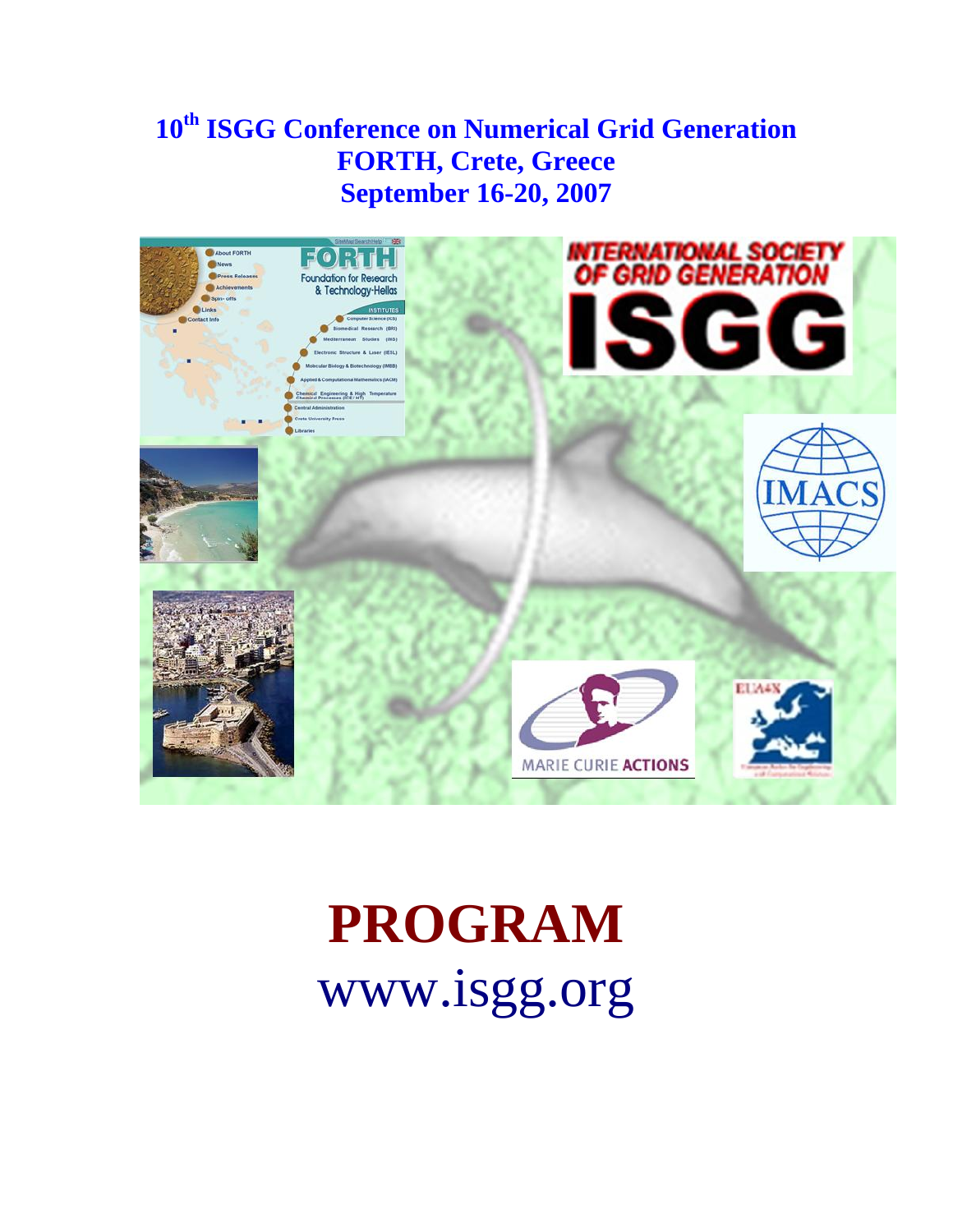### **10<sup>th</sup> ISGG Conference on Numerical Grid Generation FORTH, Crete, Greece September 16-20, 2007**



# **PROGRAM**  www.isgg.org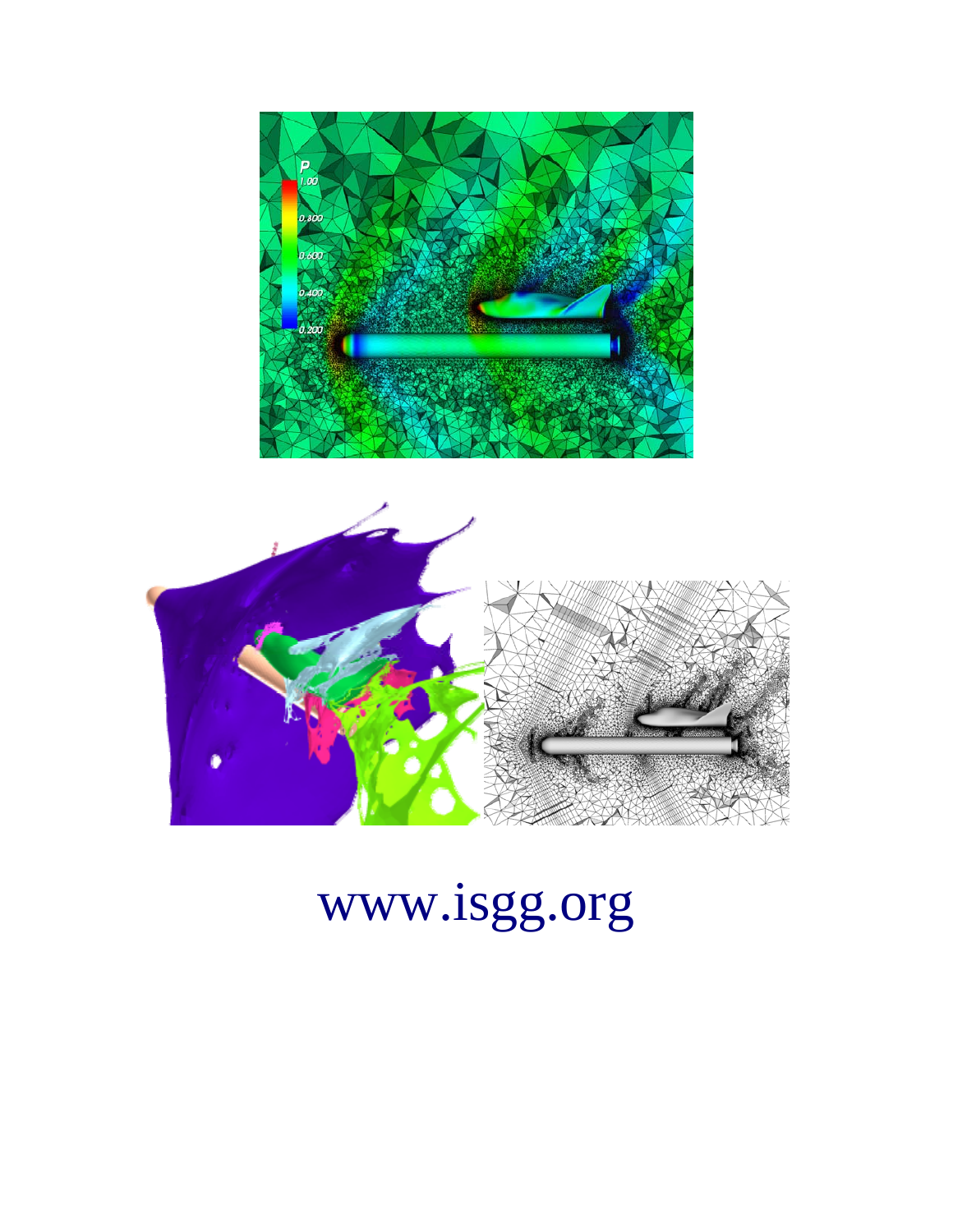

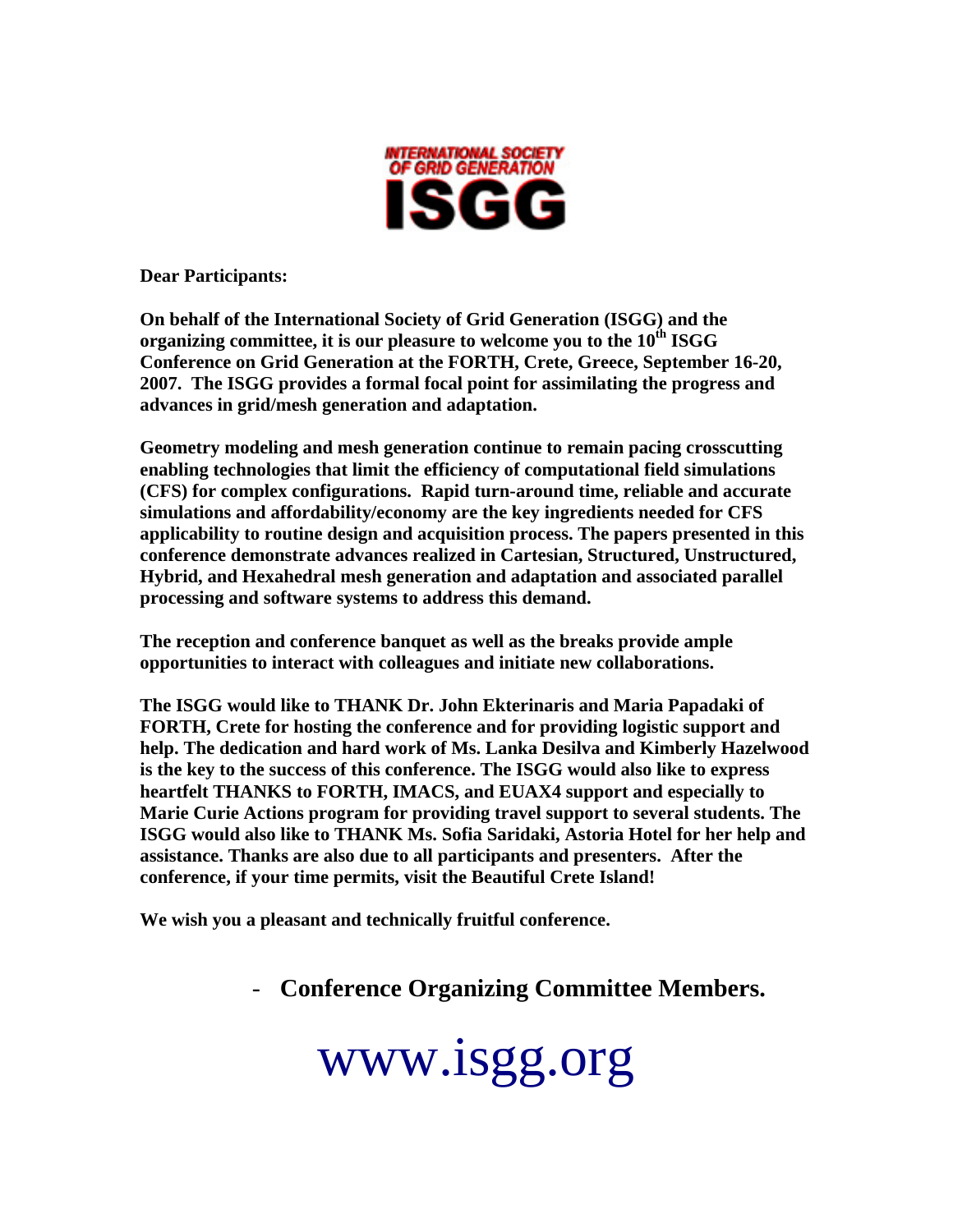

**Dear Participants:** 

**On behalf of the International Society of Grid Generation (ISGG) and the organizing committee, it is our pleasure to welcome you to the 10<sup>th</sup> ISGG Conference on Grid Generation at the FORTH, Crete, Greece, September 16-20, 2007. The ISGG provides a formal focal point for assimilating the progress and advances in grid/mesh generation and adaptation.** 

**Geometry modeling and mesh generation continue to remain pacing crosscutting enabling technologies that limit the efficiency of computational field simulations (CFS) for complex configurations. Rapid turn-around time, reliable and accurate simulations and affordability/economy are the key ingredients needed for CFS applicability to routine design and acquisition process. The papers presented in this conference demonstrate advances realized in Cartesian, Structured, Unstructured, Hybrid, and Hexahedral mesh generation and adaptation and associated parallel processing and software systems to address this demand.** 

**The reception and conference banquet as well as the breaks provide ample opportunities to interact with colleagues and initiate new collaborations.** 

**The ISGG would like to THANK Dr. John Ekterinaris and Maria Papadaki of FORTH, Crete for hosting the conference and for providing logistic support and help. The dedication and hard work of Ms. Lanka Desilva and Kimberly Hazelwood is the key to the success of this conference. The ISGG would also like to express heartfelt THANKS to FORTH, IMACS, and EUAX4 support and especially to Marie Curie Actions program for providing travel support to several students. The ISGG would also like to THANK Ms. Sofia Saridaki, Astoria Hotel for her help and assistance. Thanks are also due to all participants and presenters. After the conference, if your time permits, visit the Beautiful Crete Island!** 

**We wish you a pleasant and technically fruitful conference.** 

- **Conference Organizing Committee Members.**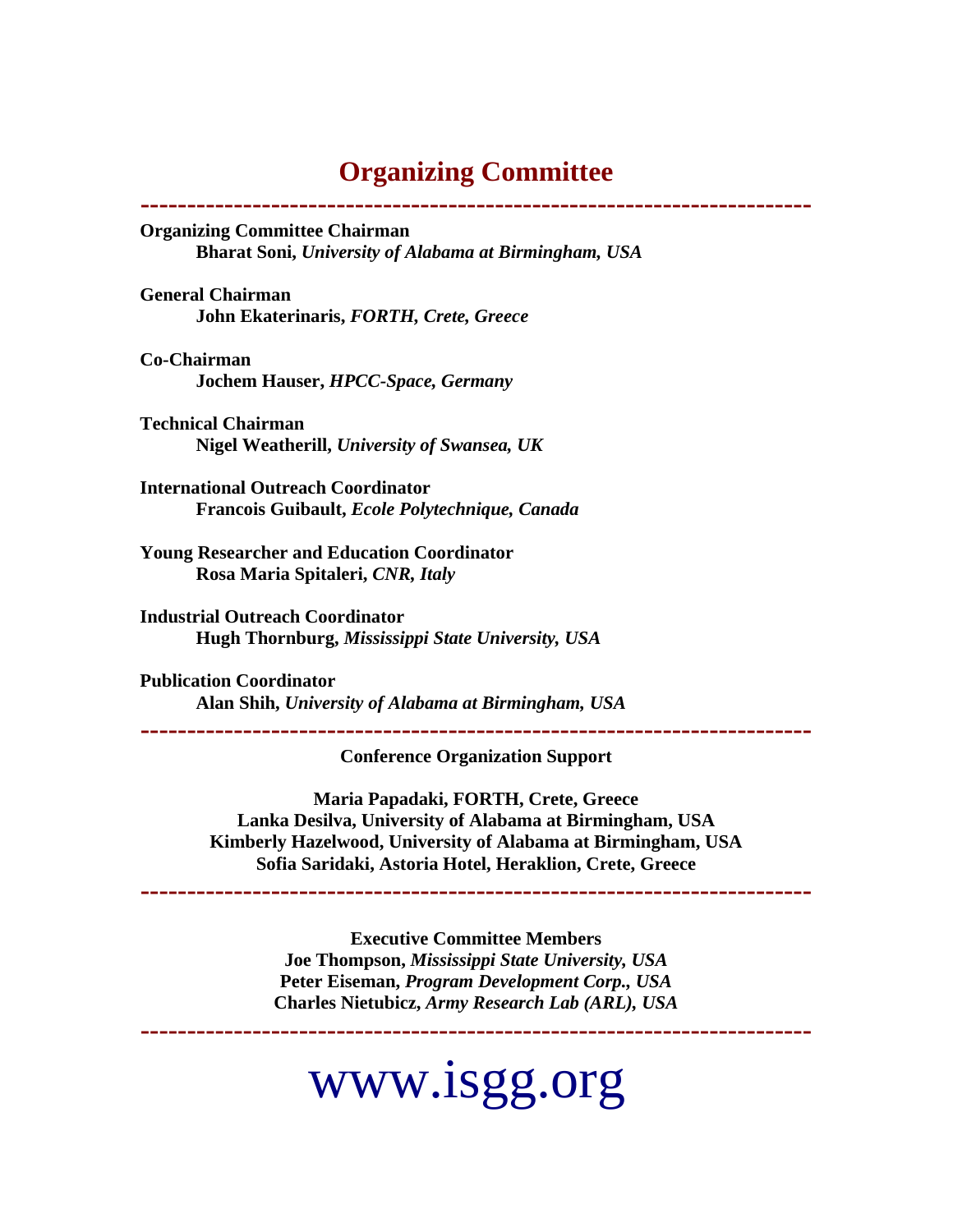### **Organizing Committee**

**------------------------------------------------------------------------ Organizing Committee Chairman Bharat Soni,** *University of Alabama at Birmingham, USA* **General Chairman John Ekaterinaris,** *FORTH, Crete, Greece* **Co-Chairman Jochem Hauser,** *HPCC-Space, Germany* **Technical Chairman Nigel Weatherill,** *University of Swansea, UK* **International Outreach Coordinator Francois Guibault,** *Ecole Polytechnique, Canada* **Young Researcher and Education Coordinator Rosa Maria Spitaleri,** *CNR, Italy* **Industrial Outreach Coordinator Hugh Thornburg,** *Mississippi State University, USA* **Publication Coordinator Alan Shih,** *University of Alabama at Birmingham, USA*  **------------------------------------------------------------------------ Conference Organization Support Maria Papadaki, FORTH, Crete, Greece Lanka Desilva, University of Alabama at Birmingham, USA Kimberly Hazelwood, University of Alabama at Birmingham, USA Sofia Saridaki, Astoria Hotel, Heraklion, Crete, Greece** 

**------------------------------------------------------------------------** 

**Executive Committee Members Joe Thompson,** *Mississippi State University, USA* **Peter Eiseman,** *Program Development Corp., USA*  **Charles Nietubicz,** *Army Research Lab (ARL), USA* 

www.isgg.org

**------------------------------------------------------------------------**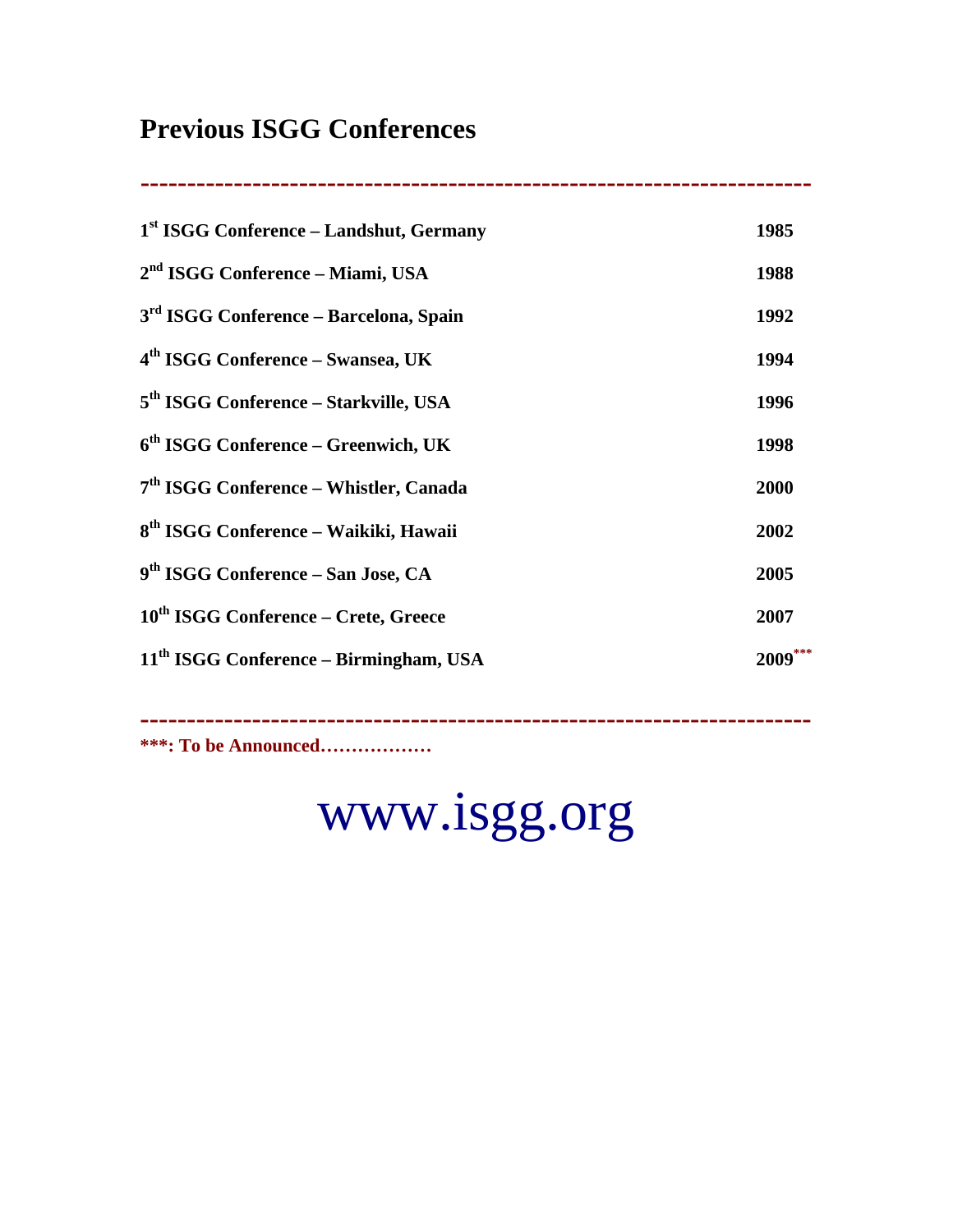### **Previous ISGG Conferences**

**1st ISGG Conference – Landshut, Germany 1985 2nd ISGG Conference – Miami, USA 1988 3rd ISGG Conference – Barcelona, Spain 1992 4th ISGG Conference – Swansea, UK 1994 5th ISGG Conference – Starkville, USA 1996 6th ISGG Conference – Greenwich, UK 1998 7th ISGG Conference – Whistler, Canada 2000 8th ISGG Conference – Waikiki, Hawaii 2002 9th ISGG Conference – San Jose, CA 2005 10th ISGG Conference – Crete, Greece 2007 11th ISGG Conference – Birmingham, USA 2009\*\*\*** 

**------------------------------------------------------------------------** 

**------------------------------------------------------------------------** 

**\*\*\*: To be Announced………………**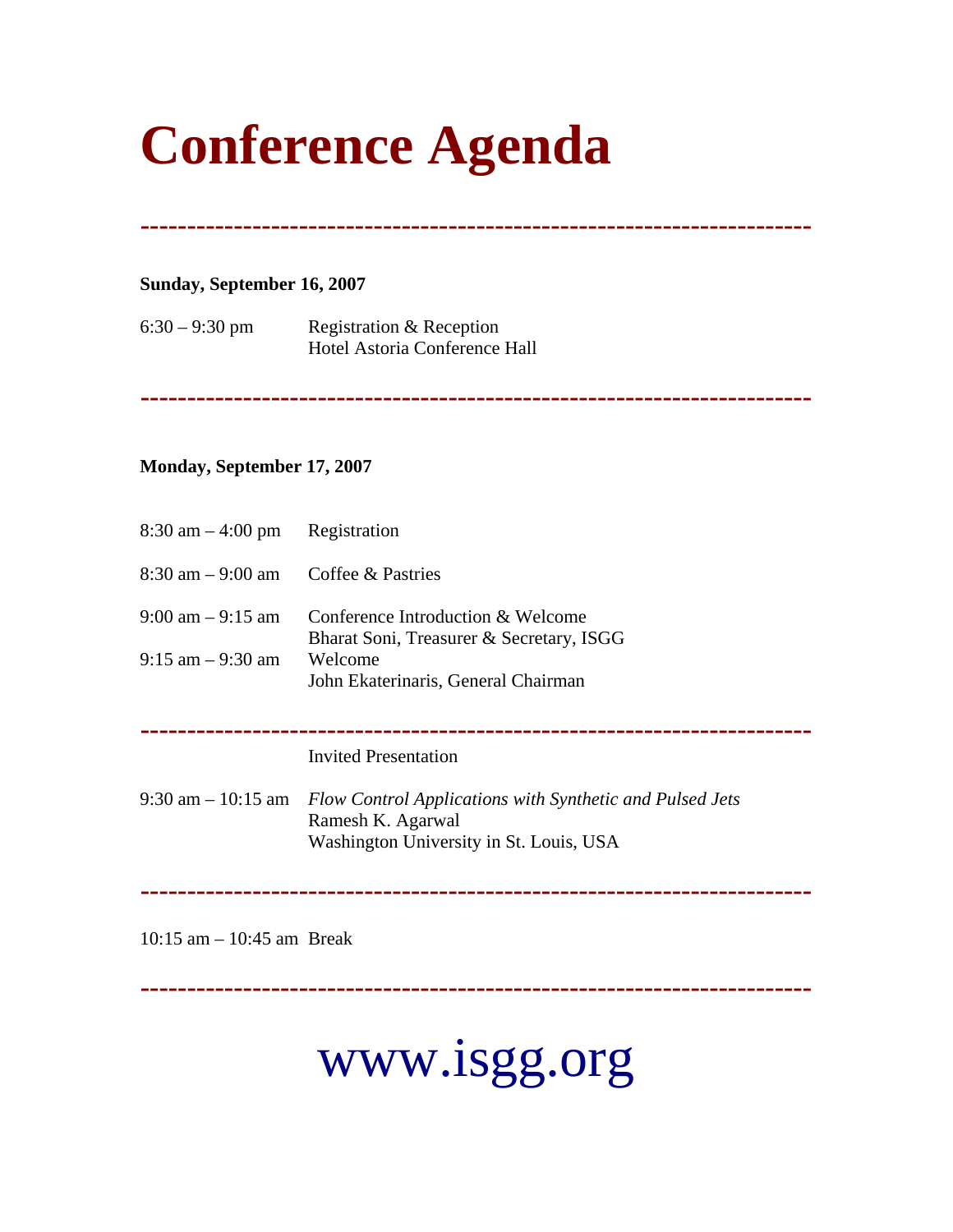# **Conference Agenda**

**------------------------------------------------------------------------** 

#### **Sunday, September 16, 2007**

| $6:30 - 9:30$ pm | Registration & Reception      |
|------------------|-------------------------------|
|                  | Hotel Astoria Conference Hall |

**------------------------------------------------------------------------** 

#### **Monday, September 17, 2007**

| $8:30 \text{ am} - 4:00 \text{ pm}$                         | Registration                                                                                                                                            |
|-------------------------------------------------------------|---------------------------------------------------------------------------------------------------------------------------------------------------------|
| $8:30$ am $-9:00$ am                                        | Coffee & Pastries                                                                                                                                       |
| $9:00 \text{ am} - 9:15 \text{ am}$<br>$9:15$ am $-9:30$ am | Conference Introduction & Welcome<br>Bharat Soni, Treasurer & Secretary, ISGG<br>Welcome<br>John Ekaterinaris, General Chairman                         |
| $9:30$ am $-10:15$ am                                       | <b>Invited Presentation</b><br>Flow Control Applications with Synthetic and Pulsed Jets<br>Ramesh K. Agarwal<br>Washington University in St. Louis, USA |
|                                                             |                                                                                                                                                         |

10:15 am – 10:45 am Break

**------------------------------------------------------------------------**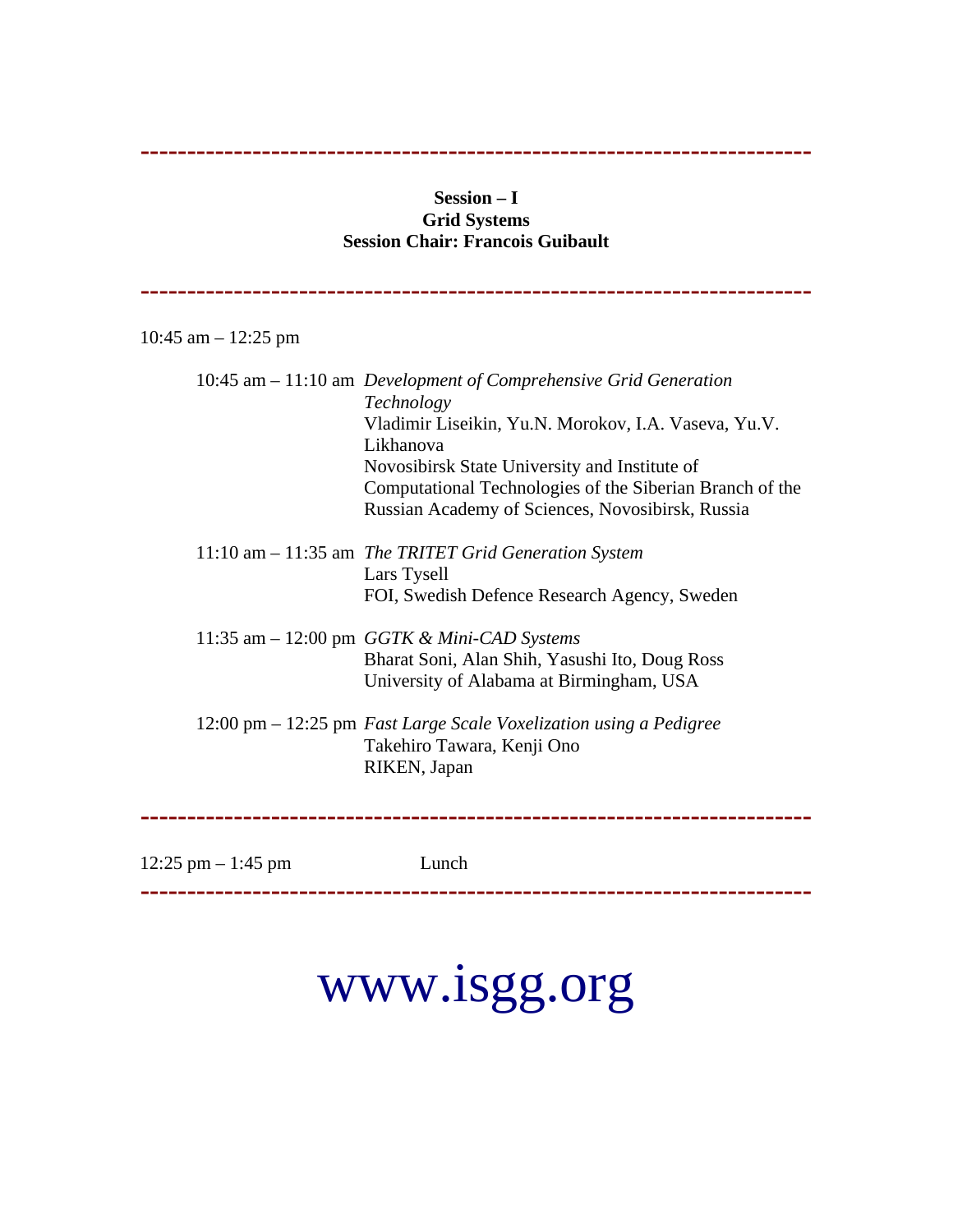#### **Session – I Grid Systems Session Chair: Francois Guibault**

**------------------------------------------------------------------------** 

**------------------------------------------------------------------------** 

10:45 am – 12:25 pm

| 10:45 am – 11:10 am Development of Comprehensive Grid Generation                     |
|--------------------------------------------------------------------------------------|
| Technology                                                                           |
| Vladimir Liseikin, Yu.N. Morokov, I.A. Vaseva, Yu.V.                                 |
| Likhanova                                                                            |
| Novosibirsk State University and Institute of                                        |
| Computational Technologies of the Siberian Branch of the                             |
| Russian Academy of Sciences, Novosibirsk, Russia                                     |
| 11:10 am - 11:35 am The TRITET Grid Generation System                                |
| Lars Tysell                                                                          |
| FOI, Swedish Defence Research Agency, Sweden                                         |
| 11:35 am $-$ 12:00 pm <i>GGTK &amp; Mini-CAD Systems</i>                             |
| Bharat Soni, Alan Shih, Yasushi Ito, Doug Ross                                       |
| University of Alabama at Birmingham, USA                                             |
| $12:00 \text{ pm} - 12:25 \text{ pm}$ Fast Large Scale Voxelization using a Pedigree |
| Takehiro Tawara, Kenji Ono                                                           |
| RIKEN, Japan                                                                         |
|                                                                                      |
|                                                                                      |

12:25 pm – 1:45 pm Lunch **------------------------------------------------------------------------**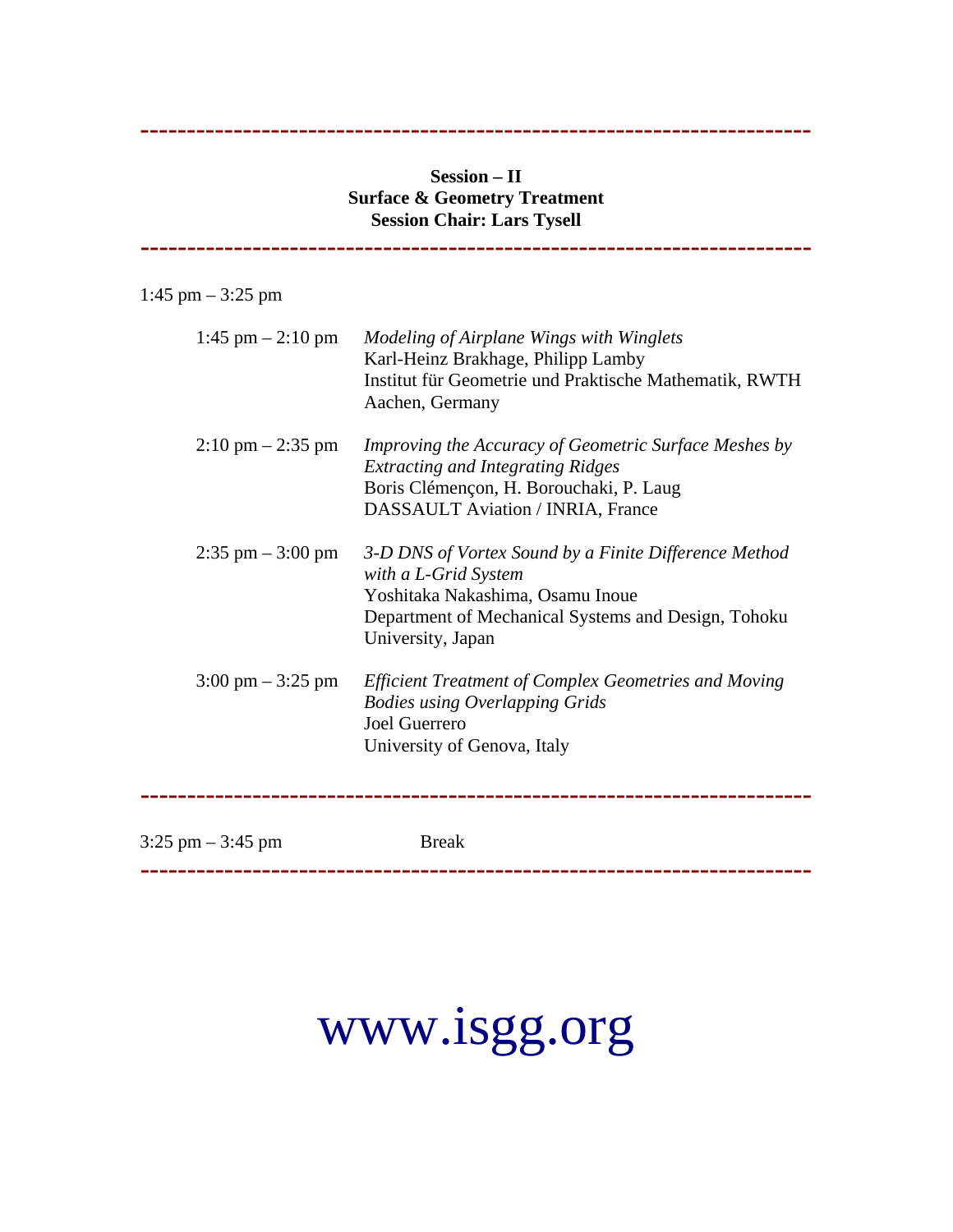#### **Session – II Surface & Geometry Treatment Session Chair: Lars Tysell**

**------------------------------------------------------------------------**

**------------------------------------------------------------------------** 

| 1:45 pm $-$ 3:25 pm                 |                                                                                                                                                                                               |
|-------------------------------------|-----------------------------------------------------------------------------------------------------------------------------------------------------------------------------------------------|
| $1:45 \text{ pm} - 2:10 \text{ pm}$ | Modeling of Airplane Wings with Winglets<br>Karl-Heinz Brakhage, Philipp Lamby<br>Institut für Geometrie und Praktische Mathematik, RWTH<br>Aachen, Germany                                   |
| $2:10 \text{ pm} - 2:35 \text{ pm}$ | Improving the Accuracy of Geometric Surface Meshes by<br><b>Extracting and Integrating Ridges</b><br>Boris Clémençon, H. Borouchaki, P. Laug<br><b>DASSAULT Aviation / INRIA, France</b>      |
| $2:35$ pm $-3:00$ pm                | 3-D DNS of Vortex Sound by a Finite Difference Method<br>with a L-Grid System<br>Yoshitaka Nakashima, Osamu Inoue<br>Department of Mechanical Systems and Design, Tohoku<br>University, Japan |
| $3:00 \text{ pm} - 3:25 \text{ pm}$ | <b>Efficient Treatment of Complex Geometries and Moving</b><br><b>Bodies using Overlapping Grids</b><br>Joel Guerrero<br>University of Genova, Italy                                          |

| $3:25$ pm $-3:45$ pm |  |
|----------------------|--|
|                      |  |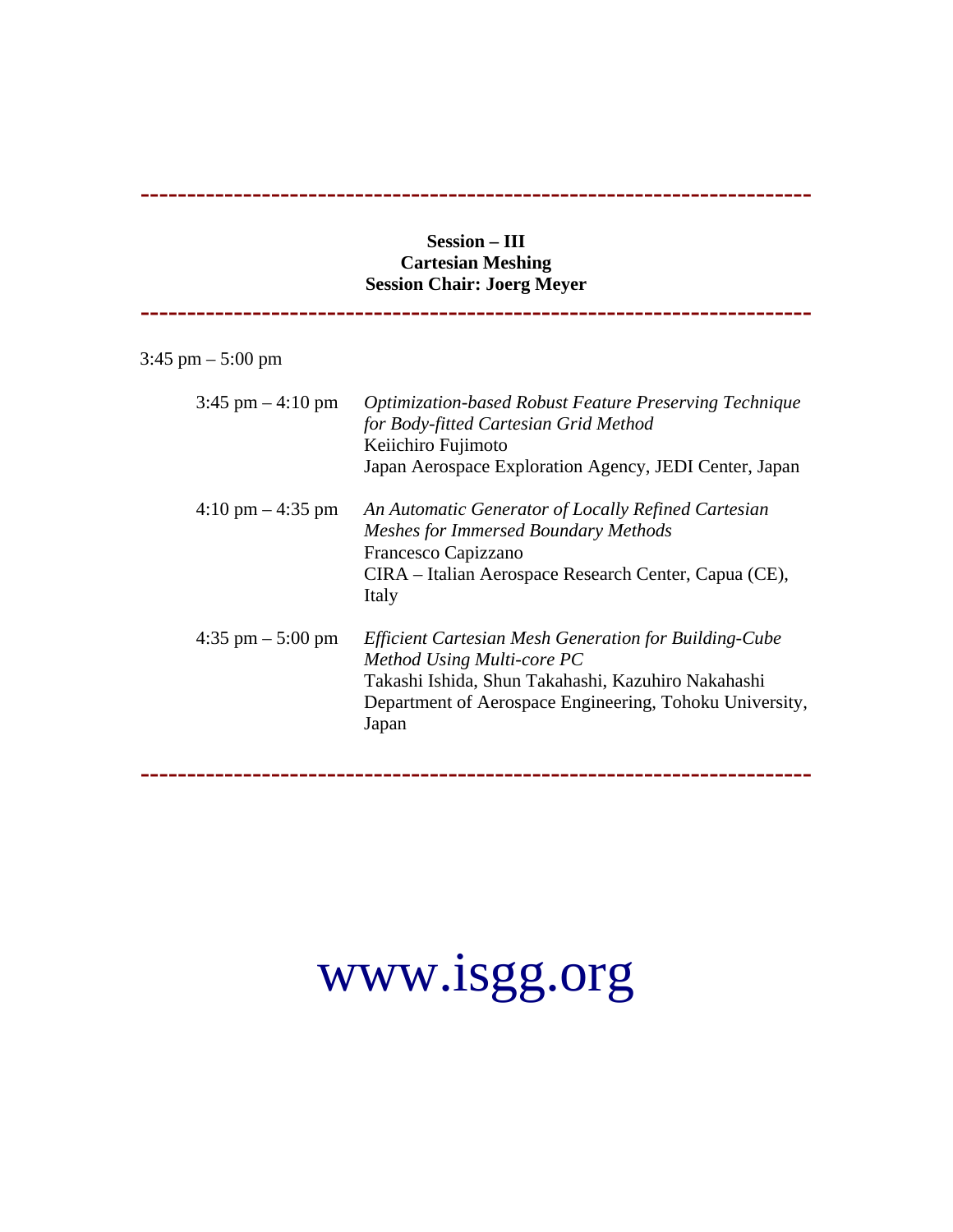**------------------------------------------------------------------------** 

#### **Session – III Cartesian Meshing Session Chair: Joerg Meyer**

**------------------------------------------------------------------------** 

| $3:45$ pm $- 5:00$ pm |  |
|-----------------------|--|
|-----------------------|--|

| $3:45$ pm $-4:10$ pm                | <b>Optimization-based Robust Feature Preserving Technique</b><br>for Body-fitted Cartesian Grid Method<br>Keiichiro Fujimoto<br>Japan Aerospace Exploration Agency, JEDI Center, Japan                        |
|-------------------------------------|---------------------------------------------------------------------------------------------------------------------------------------------------------------------------------------------------------------|
| $4:10 \text{ pm} - 4:35 \text{ pm}$ | An Automatic Generator of Locally Refined Cartesian<br><b>Meshes for Immersed Boundary Methods</b><br>Francesco Capizzano<br>CIRA – Italian Aerospace Research Center, Capua (CE),<br>Italy                   |
| $4:35$ pm $-5:00$ pm                | Efficient Cartesian Mesh Generation for Building-Cube<br>Method Using Multi-core PC<br>Takashi Ishida, Shun Takahashi, Kazuhiro Nakahashi<br>Department of Aerospace Engineering, Tohoku University,<br>Japan |

**------------------------------------------------------------------------**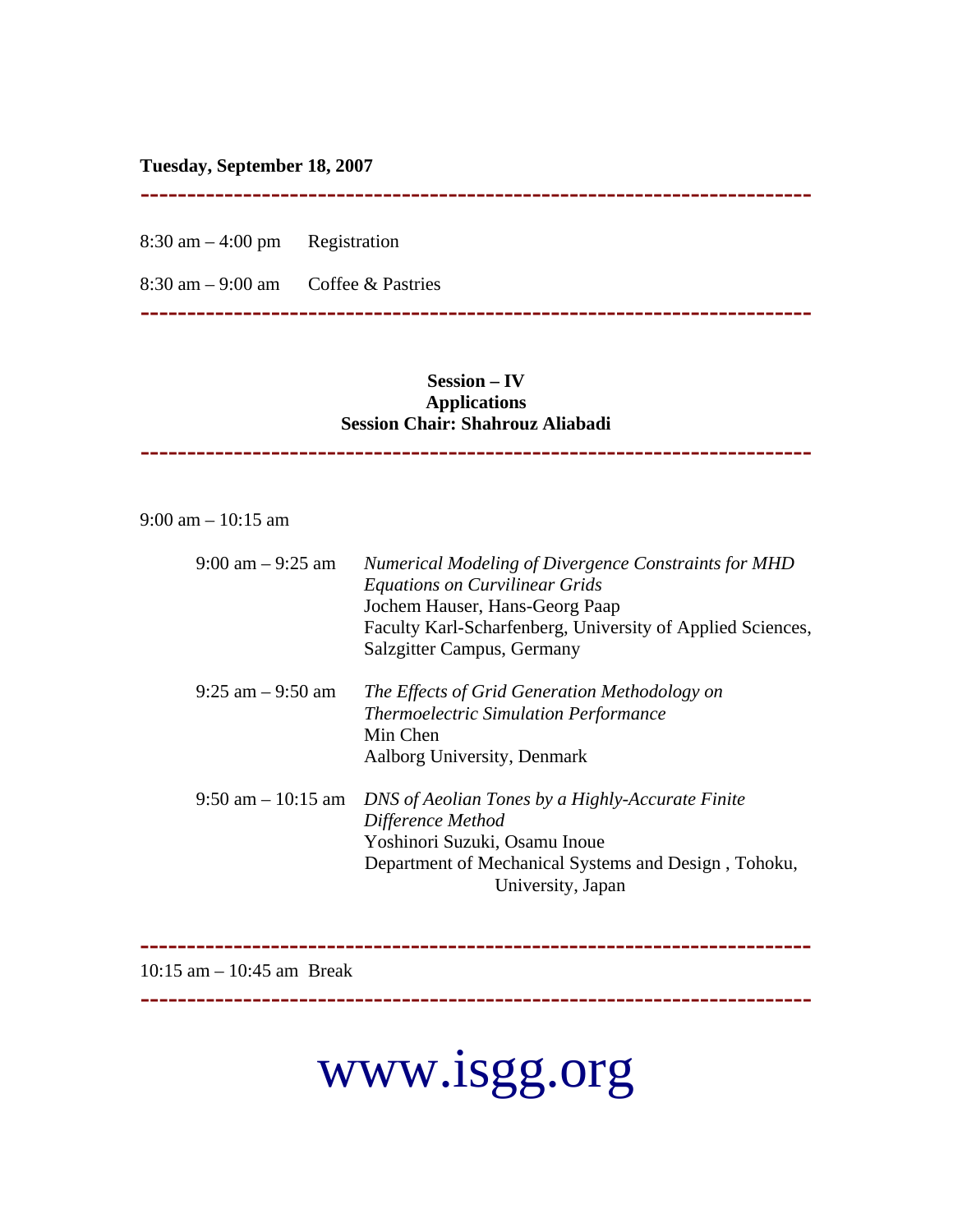#### **Tuesday, September 18, 2007**

**------------------------------------------------------------------------** 

8:30 am – 4:00 pm Registration

8:30 am – 9:00 am Coffee & Pastries

**------------------------------------------------------------------------** 

#### **Session – IV Applications Session Chair: Shahrouz Aliabadi**

**------------------------------------------------------------------------** 

**------------------------------------------------------------------------**

9:00 am – 10:15 am

| $9:00 \text{ am} - 9:25 \text{ am}$ | <b>Numerical Modeling of Divergence Constraints for MHD</b><br><b>Equations on Curvilinear Grids</b><br>Jochem Hauser, Hans-Georg Paap<br>Faculty Karl-Scharfenberg, University of Applied Sciences,<br>Salzgitter Campus, Germany |
|-------------------------------------|------------------------------------------------------------------------------------------------------------------------------------------------------------------------------------------------------------------------------------|
| $9:25$ am $-9:50$ am                | The Effects of Grid Generation Methodology on<br><b>Thermoelectric Simulation Performance</b><br>Min Chen<br>Aalborg University, Denmark                                                                                           |
| $9:50$ am $-10:15$ am               | DNS of Aeolian Tones by a Highly-Accurate Finite<br>Difference Method<br>Yoshinori Suzuki, Osamu Inoue<br>Department of Mechanical Systems and Design, Tohoku,<br>University, Japan                                                |

10:15 am – 10:45 am Break

www.isgg.org

**------------------------------------------------------------------------**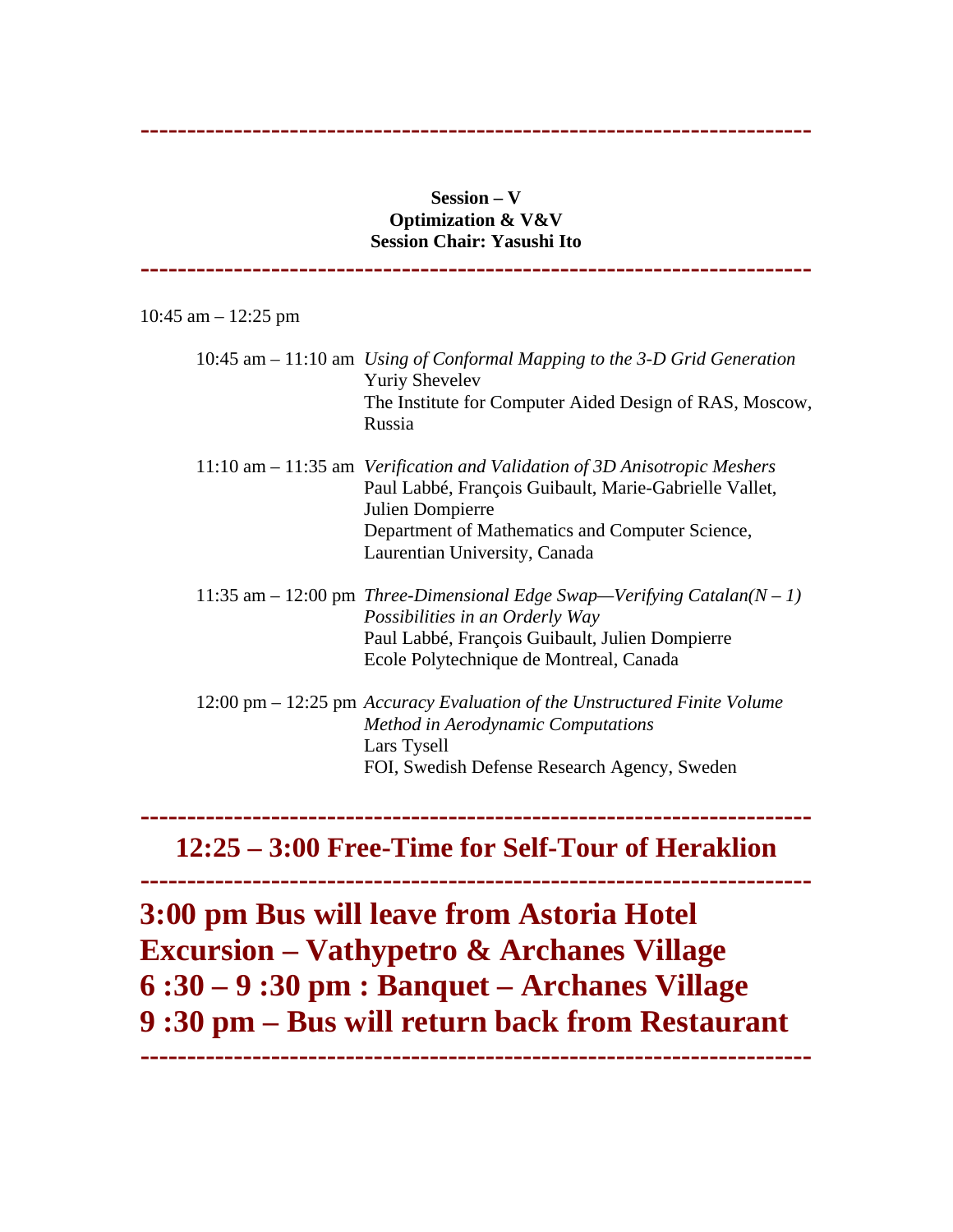#### **Session – V Optimization & V&V Session Chair: Yasushi Ito**

**------------------------------------------------------------------------** 

**------------------------------------------------------------------------**  10:45 am – 12:25 pm 10:45 am – 11:10 am *Using of Conformal Mapping to the 3-D Grid Generation*  Yuriy Shevelev The Institute for Computer Aided Design of RAS, Moscow, Russia 11:10 am – 11:35 am *Verification and Validation of 3D Anisotropic Meshers* Paul Labbé, François Guibault, Marie-Gabrielle Vallet, Julien Dompierre Department of Mathematics and Computer Science, Laurentian University, Canada 11:35 am – 12:00 pm *Three-Dimensional Edge Swap—Verifying Catalan(N – 1) Possibilities in an Orderly Way* Paul Labbé, François Guibault, Julien Dompierre Ecole Polytechnique de Montreal, Canada 12:00 pm – 12:25 pm *Accuracy Evaluation of the Unstructured Finite Volume Method in Aerodynamic Computations* Lars Tysell FOI, Swedish Defense Research Agency, Sweden **------------------------------------------------------------------------** 

**12:25 – 3:00 Free-Time for Self-Tour of Heraklion** 

**------------------------------------------------------------------------ 3:00 pm Bus will leave from Astoria Hotel Excursion – Vathypetro & Archanes Village 6 :30 – 9 :30 pm : Banquet – Archanes Village 9 :30 pm – Bus will return back from Restaurant ------------------------------------------------------------------------**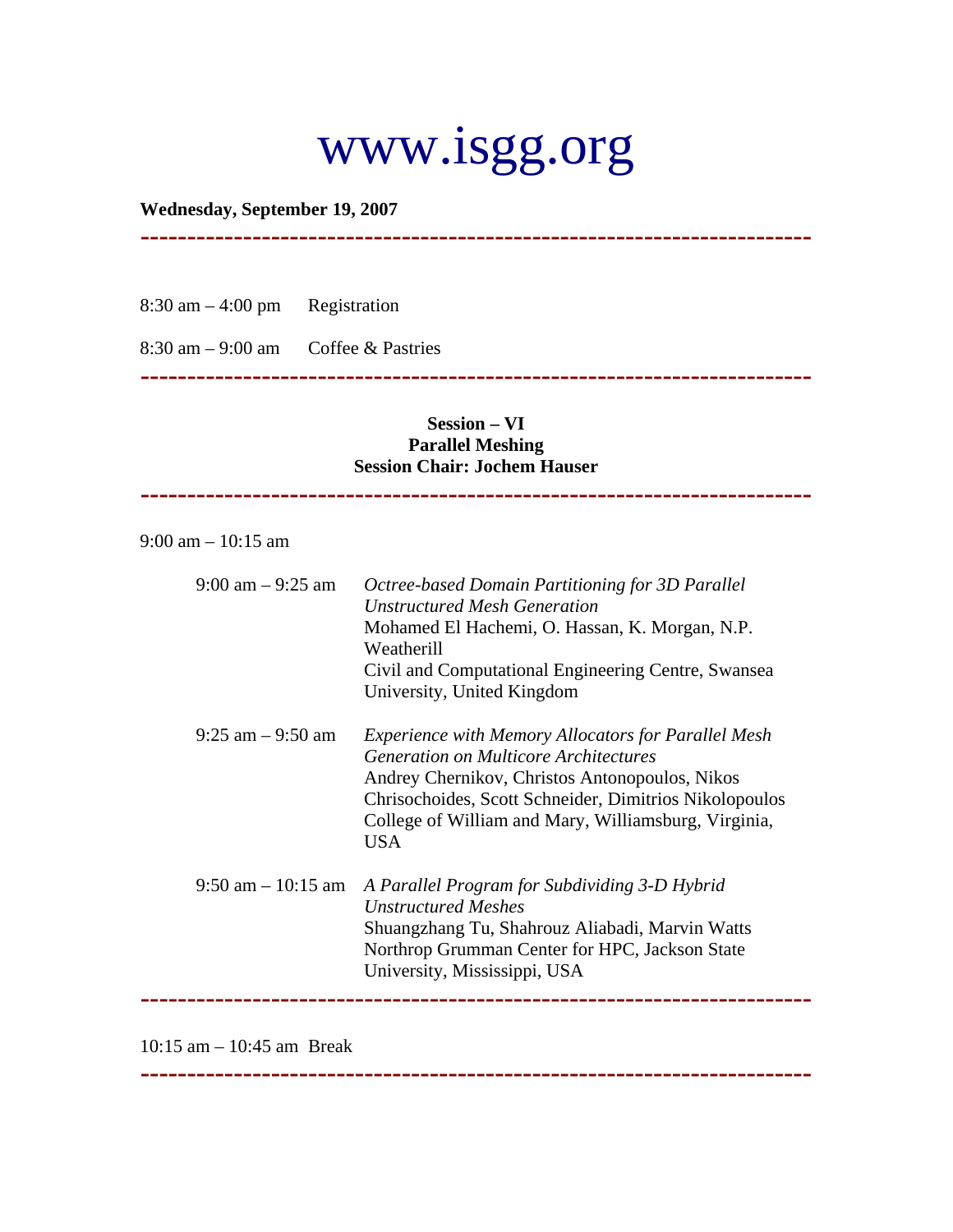#### **Wednesday, September 19, 2007**

**------------------------------------------------------------------------** 

8:30 am – 4:00 pm Registration

8:30 am – 9:00 am Coffee & Pastries

**------------------------------------------------------------------------** 

#### **Session – VI Parallel Meshing Session Chair: Jochem Hauser**

**------------------------------------------------------------------------** 

9:00 am – 10:15 am

| $9:00 \text{ am} - 9:25 \text{ am}$ | Octree-based Domain Partitioning for 3D Parallel<br><b>Unstructured Mesh Generation</b><br>Mohamed El Hachemi, O. Hassan, K. Morgan, N.P.<br>Weatherill<br>Civil and Computational Engineering Centre, Swansea<br>University, United Kingdom                                          |
|-------------------------------------|---------------------------------------------------------------------------------------------------------------------------------------------------------------------------------------------------------------------------------------------------------------------------------------|
| $9:25$ am $-9:50$ am                | <i>Experience with Memory Allocators for Parallel Mesh</i><br><b>Generation on Multicore Architectures</b><br>Andrey Chernikov, Christos Antonopoulos, Nikos<br>Chrisochoides, Scott Schneider, Dimitrios Nikolopoulos<br>College of William and Mary, Williamsburg, Virginia,<br>USA |
| $9:50$ am $-10:15$ am               | A Parallel Program for Subdividing 3-D Hybrid<br>Unstructured Meshes<br>Shuangzhang Tu, Shahrouz Aliabadi, Marvin Watts<br>Northrop Grumman Center for HPC, Jackson State<br>University, Mississippi, USA                                                                             |

**------------------------------------------------------------------------** 

10:15 am – 10:45 am Break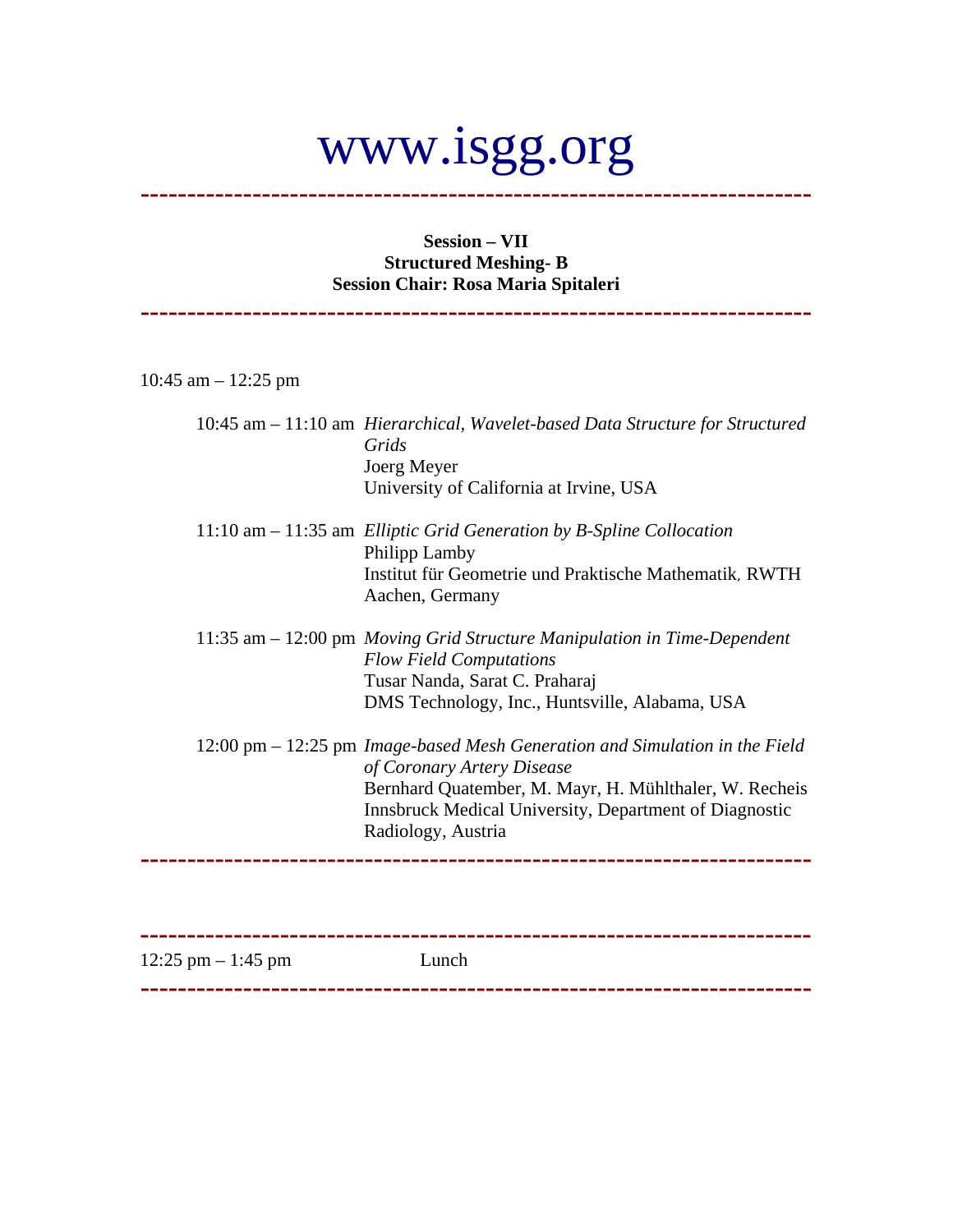**------------------------------------------------------------------------** 

#### **Session – VII Structured Meshing- B Session Chair: Rosa Maria Spitaleri**

10:45 am – 12:25 pm

|                       | 10:45 am - 11:10 am Hierarchical, Wavelet-based Data Structure for Structured<br>Grids<br>Joerg Meyer<br>University of California at Irvine, USA                                                                                                              |
|-----------------------|---------------------------------------------------------------------------------------------------------------------------------------------------------------------------------------------------------------------------------------------------------------|
|                       | 11:10 am - 11:35 am Elliptic Grid Generation by B-Spline Collocation<br>Philipp Lamby<br>Institut für Geometrie und Praktische Mathematik, RWTH<br>Aachen, Germany                                                                                            |
|                       | 11:35 am $-$ 12:00 pm <i>Moving Grid Structure Manipulation in Time-Dependent</i><br><b>Flow Field Computations</b><br>Tusar Nanda, Sarat C. Praharaj<br>DMS Technology, Inc., Huntsville, Alabama, USA                                                       |
|                       | $12:00$ pm $-12:25$ pm Image-based Mesh Generation and Simulation in the Field<br>of Coronary Artery Disease<br>Bernhard Quatember, M. Mayr, H. Mühlthaler, W. Recheis<br><b>Innsbruck Medical University, Department of Diagnostic</b><br>Radiology, Austria |
|                       |                                                                                                                                                                                                                                                               |
| $12:25$ pm $-1:45$ pm | Lunch                                                                                                                                                                                                                                                         |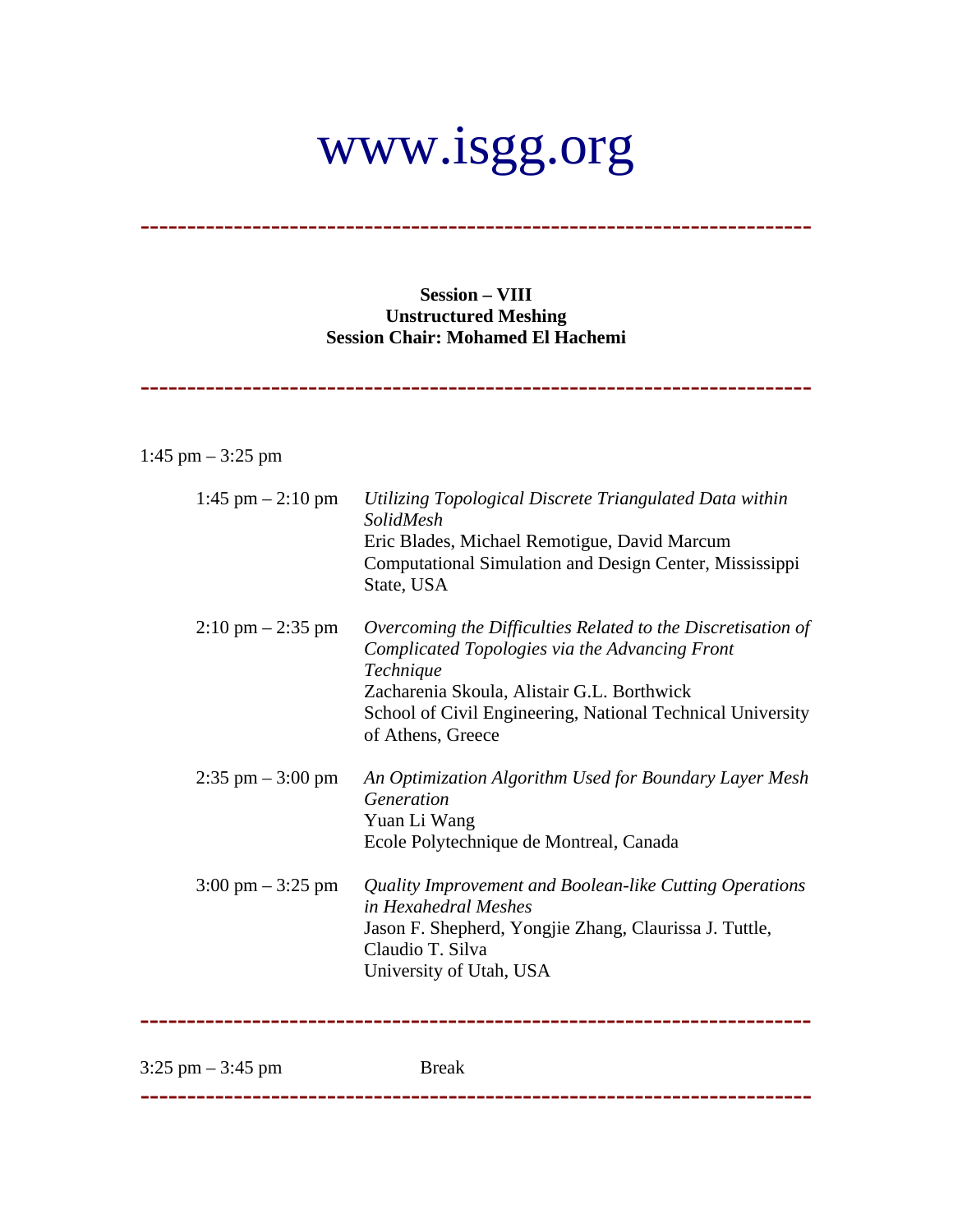**------------------------------------------------------------------------** 

**Session – VIII Unstructured Meshing Session Chair: Mohamed El Hachemi** 

**------------------------------------------------------------------------** 

#### 1:45 pm – 3:25 pm

| $1:45$ pm $- 2:10$ pm               | Utilizing Topological Discrete Triangulated Data within<br><b>SolidMesh</b><br>Eric Blades, Michael Remotigue, David Marcum<br>Computational Simulation and Design Center, Mississippi<br>State, USA                                                         |
|-------------------------------------|--------------------------------------------------------------------------------------------------------------------------------------------------------------------------------------------------------------------------------------------------------------|
| $2:10 \text{ pm} - 2:35 \text{ pm}$ | Overcoming the Difficulties Related to the Discretisation of<br>Complicated Topologies via the Advancing Front<br>Technique<br>Zacharenia Skoula, Alistair G.L. Borthwick<br>School of Civil Engineering, National Technical University<br>of Athens, Greece |
| $2:35$ pm $-3:00$ pm                | An Optimization Algorithm Used for Boundary Layer Mesh<br>Generation<br>Yuan Li Wang<br>Ecole Polytechnique de Montreal, Canada                                                                                                                              |
| $3:00 \text{ pm} - 3:25 \text{ pm}$ | Quality Improvement and Boolean-like Cutting Operations<br>in Hexahedral Meshes<br>Jason F. Shepherd, Yongjie Zhang, Claurissa J. Tuttle,<br>Claudio T. Silva<br>University of Utah, USA                                                                     |

 $3:25 \text{ pm} - 3:45 \text{ pm}$  Break **------------------------------------------------------------------------**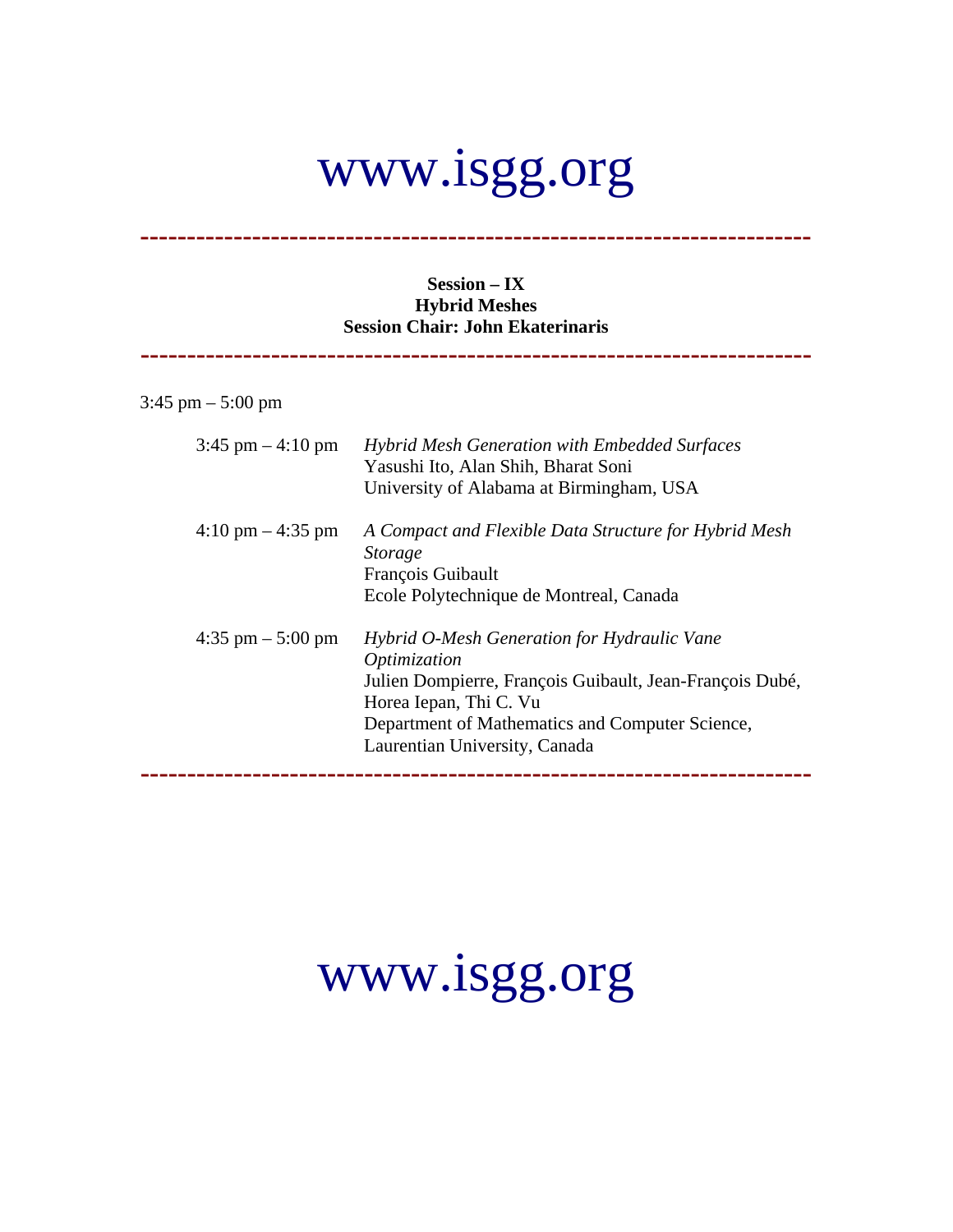**------------------------------------------------------------------------** 

#### **Session – IX Hybrid Meshes Session Chair: John Ekaterinaris**

**------------------------------------------------------------------------** 

3:45 pm – 5:00 pm

| $3:45$ pm $-4:10$ pm                | Hybrid Mesh Generation with Embedded Surfaces<br>Yasushi Ito, Alan Shih, Bharat Soni<br>University of Alabama at Birmingham, USA                                                                                                      |
|-------------------------------------|---------------------------------------------------------------------------------------------------------------------------------------------------------------------------------------------------------------------------------------|
| $4:10 \text{ pm} - 4:35 \text{ pm}$ | A Compact and Flexible Data Structure for Hybrid Mesh<br><i>Storage</i><br>François Guibault<br>Ecole Polytechnique de Montreal, Canada                                                                                               |
| $4:35$ pm $-5:00$ pm                | Hybrid O-Mesh Generation for Hydraulic Vane<br>Optimization<br>Julien Dompierre, François Guibault, Jean-François Dubé,<br>Horea Iepan, Thi C. Vu<br>Department of Mathematics and Computer Science,<br>Laurentian University, Canada |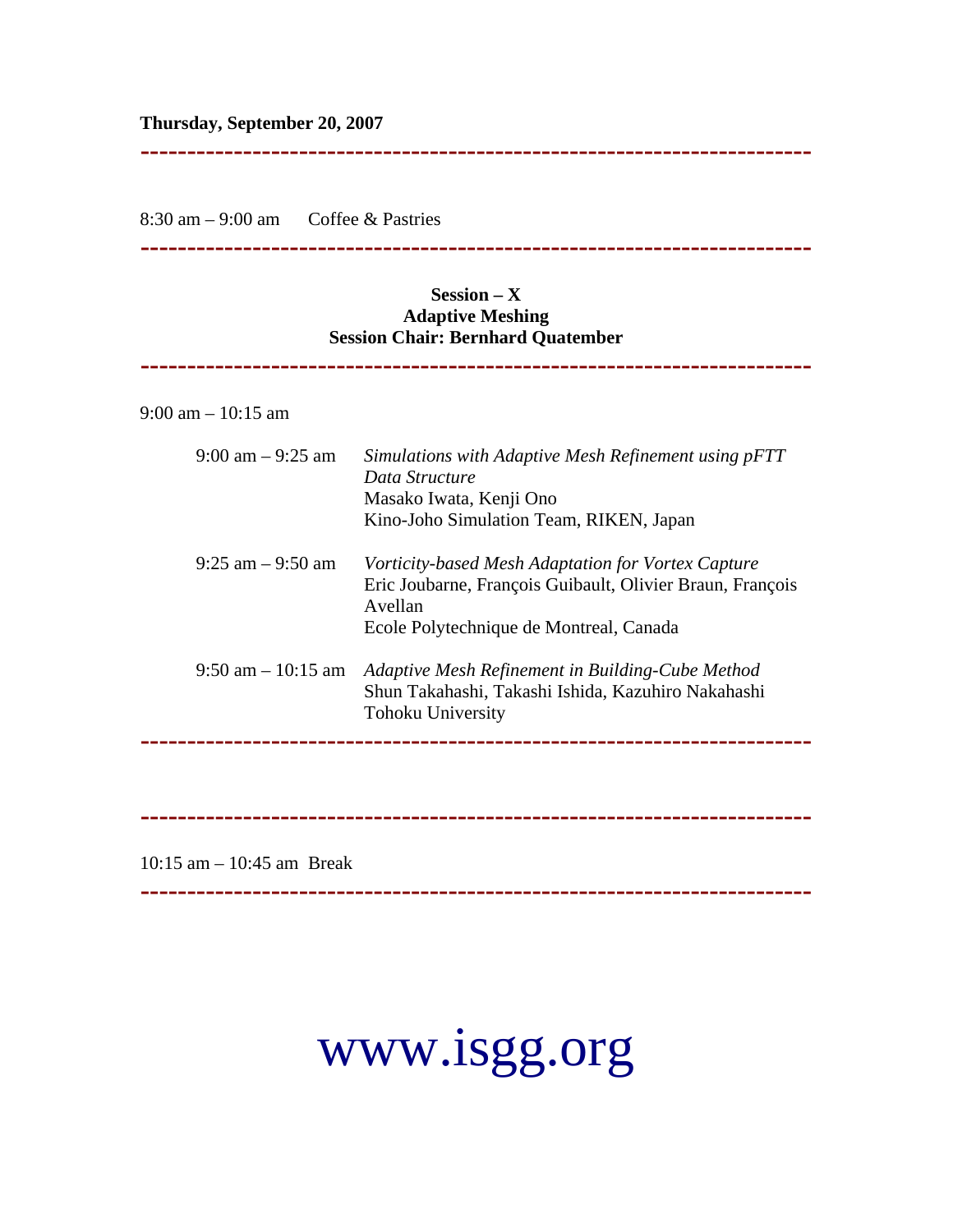#### **Thursday, September 20, 2007**

**------------------------------------------------------------------------** 

8:30 am – 9:00 am Coffee & Pastries

#### **------------------------------------------------------------------------**

#### **Session – X Adaptive Meshing Session Chair: Bernhard Quatember**

**------------------------------------------------------------------------** 

9:00 am – 10:15 am

| $9:00$ am $-9:25$ am  | Simulations with Adaptive Mesh Refinement using pFTT<br>Data Structure<br>Masako Iwata, Kenji Ono<br>Kino-Joho Simulation Team, RIKEN, Japan                                 |
|-----------------------|------------------------------------------------------------------------------------------------------------------------------------------------------------------------------|
| $9:25$ am $-9:50$ am  | <i>Vorticity-based Mesh Adaptation for Vortex Capture</i><br>Eric Joubarne, François Guibault, Olivier Braun, François<br>Avellan<br>Ecole Polytechnique de Montreal, Canada |
| $9:50$ am $-10:15$ am | Adaptive Mesh Refinement in Building-Cube Method<br>Shun Takahashi, Takashi Ishida, Kazuhiro Nakahashi<br><b>Tohoku University</b>                                           |

**------------------------------------------------------------------------** 

10:15 am – 10:45 am Break

#### **------------------------------------------------------------------------**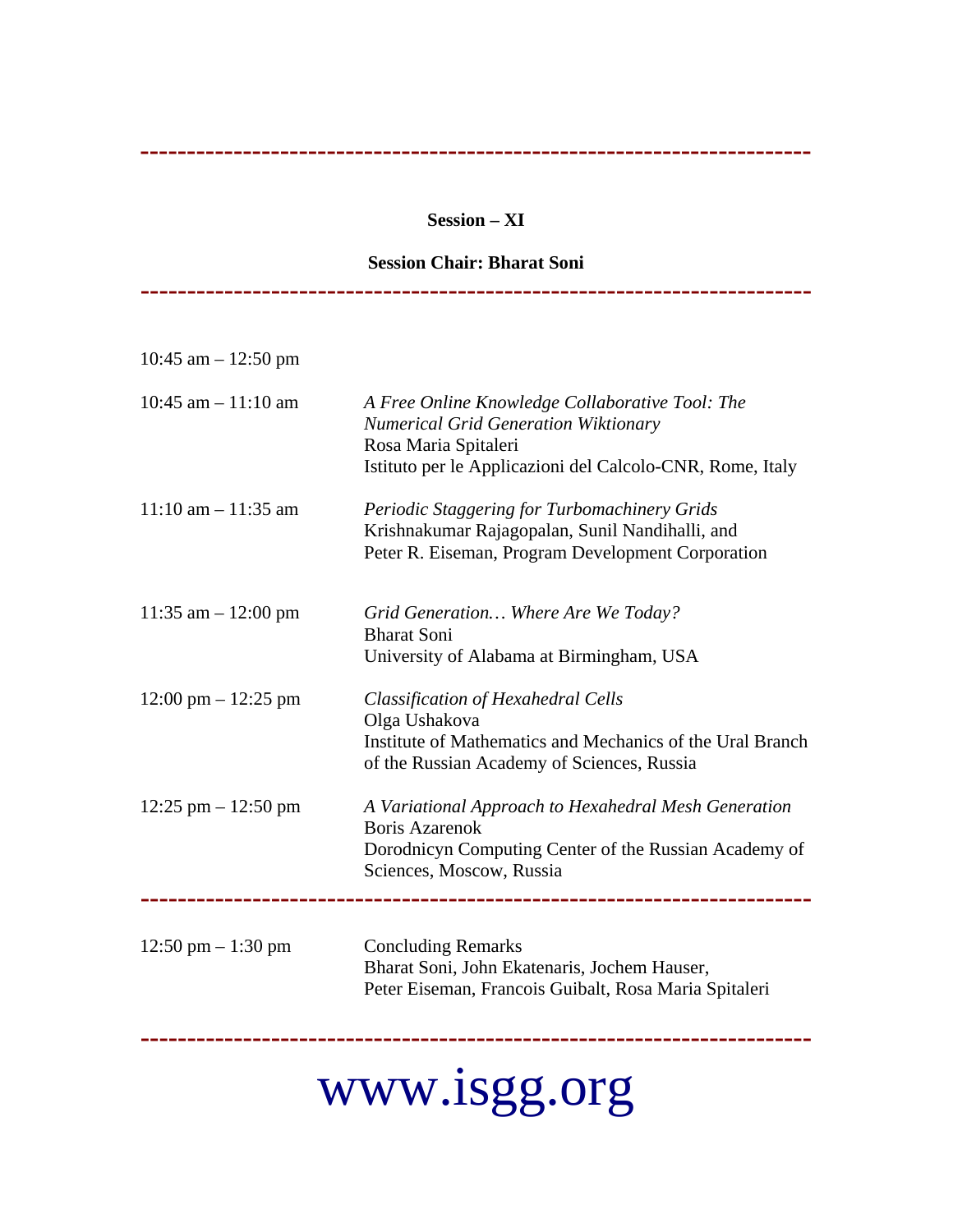#### **Session – XI**

**------------------------------------------------------------------------** 

#### **Session Chair: Bharat Soni**

#### **------------------------------------------------------------------------**

| 10:45 am $-$ 12:50 pm                 |                                                                                                                                                                                     |
|---------------------------------------|-------------------------------------------------------------------------------------------------------------------------------------------------------------------------------------|
| $10:45$ am $-11:10$ am                | A Free Online Knowledge Collaborative Tool: The<br><b>Numerical Grid Generation Wiktionary</b><br>Rosa Maria Spitaleri<br>Istituto per le Applicazioni del Calcolo-CNR, Rome, Italy |
| $11:10$ am $-11:35$ am                | Periodic Staggering for Turbomachinery Grids<br>Krishnakumar Rajagopalan, Sunil Nandihalli, and<br>Peter R. Eiseman, Program Development Corporation                                |
| 11:35 am $-$ 12:00 pm                 | Grid Generation Where Are We Today?<br><b>Bharat Soni</b><br>University of Alabama at Birmingham, USA                                                                               |
| $12:00 \text{ pm} - 12:25 \text{ pm}$ | <b>Classification of Hexahedral Cells</b><br>Olga Ushakova<br>Institute of Mathematics and Mechanics of the Ural Branch<br>of the Russian Academy of Sciences, Russia               |
| $12:25$ pm $-12:50$ pm                | A Variational Approach to Hexahedral Mesh Generation<br><b>Boris Azarenok</b><br>Dorodnicyn Computing Center of the Russian Academy of<br>Sciences, Moscow, Russia                  |
| 12:50 pm $-1:30$ pm                   | <b>Concluding Remarks</b><br>Bharat Soni, John Ekatenaris, Jochem Hauser,<br>Peter Eiseman, Francois Guibalt, Rosa Maria Spitaleri                                                  |

# www.isgg.org

**------------------------------------------------------------------------**